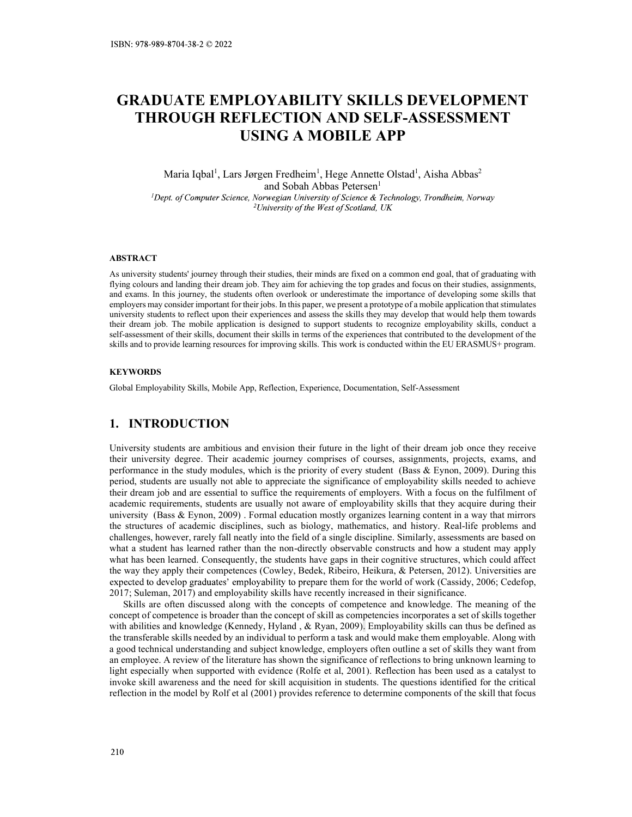# GRADUATE EMPLOYABILITY SKILLS DEVELOPMENT THROUGH REFLECTION AND SELF-ASSESSMENT USING A MOBILE APP **TY SKILLS DEVELOPMENT**<br> **(AND SELF-ASSESSMENT)**<br> **(OBILE APP)**<br>
, Hege Annette Olstad<sup>1</sup>, Aisha Abbas<sup>2</sup><br>
bbas Petersen<sup>1</sup><br> *ify of Scence* & Technology, Trondheim, Norway<br> *Yest of Scotland, UK* EVELOPMENT<br>SSESSMENT<br>, Aisha Abbas<sup>2</sup><br>, Trondheim, Norway **YABILITY SKILLS DEVELOPMENT**<br>ECTION AND SELF-ASSESSMENT<br>NG A MOBILE APP<br>en Fredheim<sup>1</sup>, Hege Annette Olstad<sup>1</sup>, Aisha Abbas<sup>2</sup><br>and Sobah Abbas Petersen<sup>1</sup><br>wegian University of Science & Technology, Trondheim, Norway<br>viver

Maria Iqbal<sup>1</sup>, Lars Jørgen Fredheim<sup>1</sup>, Hege Annette Olstad<sup>1</sup>, Aisha Abbas<sup>2</sup>

### ABSTRACT

ISBN: 978-989-8704-38-2 C 2022<br> **GRADUATE EMPLOYABILITY SKILLS DEVELOPMENT**<br> **THROUGH REFLECTION AND SELF-ASSESSMENT**<br>
USING **A MOBILE APP**<br>
Maria Iqhal<sup>1</sup>, Lars Jorgen Fredheim<sup>1</sup>, Hege Amette Olstad<sup>1</sup>, Aisha Abbas<sup>2</sup><br> fSIN: 978-980-8704-38-2 (2.2022)<br> **GRADUATE EMPLOYABILITY SKILLS DEVELOPMENT**<br> **THROUGH REFLECTION AND SELF-ASSESSMENT**<br>
Maria Iqbal<sup>1</sup>, Lans Jorgen Fredheim', Hege Amette Olstad<sup>1</sup>, Aisha Abbas<sup>2</sup><br> *Dayt. of Computer Sci* and exams. In this journey, the students often overlook or underestimate the importance of developing some skills that employers may consider important for their jobs. In this paper, we present a prototype of a mobile application that stimulates **GRADUATE EMPLOYABILITY SKILLS DEVELOPMENT**<br> **THROUGH REFLECTION AND SELF-ASSESSMENT**<br>
USING A MOBILE APP<br>
Maria Iqhal<sup>1</sup>, Lars Jorgen Fredheim<sup>1</sup>, Hege Amette Olstad<sup>1</sup>, Aisha Abbas<sup>2</sup><br> *Dopt. of Computer Science, Norweg* **GRADUATE EMPLOYABILITY SKILLS DEVELOPMENT**<br> **THROUGH REFLECTION AND SELF-ASSESSMENT**<br>
USING A MOBILE APP<br>
Maria Iqbal', Lars Jørgen Fredheim', Hegg Amette Olstad', Aisha Abbas<sup>2</sup><br> *Application is designed to the mobile an* self-assessment of their skills, document their skills in terms of the experiences that contributed to the development of the skills and to provide learning resources for improving skills. This work is conducted within the EU ERASMUS+ program. TITROUGHT REFLECT TOTA TATO SELT "TASSESSIMELY I<br>USING A MOBILE APP<br>
Maria Iqbal<sup>1</sup>, Lars Jorgen Fredheim<sup>1</sup>, Hege Amette Olstad<sup>1</sup>, Aisha Abbas<sup>2</sup><br>
"Dept. of Computer Science, Norwegian University of Secretion<sup>1</sup><br>
"Univer Maria Iqbal<sup>1</sup>, Lars Jørgen Fredheim<sup>1</sup>, Hege Annette Olstad<sup>1</sup>, Aisha Ab<br>
and Sobah Abbas Petersen'<br>
<sup>1</sup>Dept. of Computer Science, Norwegian University of Science & Technology. Trondheim,<br>
<sup>2</sup>University of the West of Sco

## **KEYWORDS**

University students are ambitious and envision their future in the light of their dream job once they receive The et al. (Computer Science, Norwegian University of Science & Technology, Transibiesin, Norwegi<br>  $t$  University students' poince of the Merican Science of the Merican Science of the Science of the Science of the Science 2. This energy through the Hexi of Scortional (K<br>
ABSTRACT<br>
As university students' journey through their studies, their minds are fixed on a common end goal, that of graduating with<br>
As university students (Dirium job. Th ABSTRACT<br>
As university students journey through their studies, their minds are fixed on a common end goal, that of graduating with<br>
flying colours and landing their dream job. They am for achieving the top grades and focu ABSTRACT<br>
AS university students journey through their studies, their minds are fixed on a common end goal, that of graduating with<br>
As university students and hading their dream job. They aim for a<br>chief one produces and **ABSTRACT**<br>As university students' journey through their studies, their minds are fixed on a common end goal, that of graduating with<br>fying colors and loading their dream job. They sim for exhivent the top groots are the ABSTRACT<br>
AS university students journey through their studies, their minds are fixed on a common end goal, that of graduating with<br>
As university students principle in the content of the profession most of developing con AIS IFACT CHE (Structures of access of access of access of access of access of access of access of access of access of access of access of access of access of access of access of access of access of access of access of acc challenges, however, rarely fall neatly into the field of a single discipline. Similarly, assessments are based on what a student has learned rather than the non-directly observable constructs and how a student may apply what has been learned. Consequently, the students have gaps in their cognitive structures, which could affect employes are consider more competent of the spectrum of the spectrum of the state of the state of the state of the state of the state of the state of the state of the state of the state of the state of the state of the sta the skills they may develop that would nelp them towards<br>the world of words to recognize employability skills, conduct a<br>the vert six conducted within the EU ERASMUS+ program.<br>For the experiences that contributed to the de The the mathematic state of the model and the model and the sequence of the state of the model and the state of the state of the state of the state of the state of the state of the state in the skills and to provide teamin skills that purst are of a statement of the competence and with the concepts of the concepts of the concepts of the concepts of the concepts of competence and the statement of the concepts of competence and the meaning of **EXEY WORDS**<br> **Conception** Explores than the conception of skills App. Reflection, Experience, Documentation, Self-Assessment<br> **1.** INTRODUCTION<br>
University students are ambitions and envision their future in the light of KEYWORDS<br>
Clobal Employability Skills, Mobile App, Reflection, Experience, Documentation, Self-Assessment<br>
1. INTRODUCTION<br>
University students are antivious and envision their function in the fight of their chean job once Global Forphoyability Skills, Mobile App, Reflection, Esperience, Documentation, Self-Assessment<br>
1. INTRODUCTION<br>
University students are ambitious and cavision their fitture in the light of their dream job once they rec **1. INTRODUCTION**<br>
University students are ambitions and envision their future in the light of their dream job once they receive<br>
their university degree. Their academic journey comprises of courses, assignments, projects **1. INTRODUCTION**<br>University students are ambitious and envision their future in the light of their dream job once they receive<br>their university degree. Their seadernic journey comprises of courses, assignments, projects, **1. INTRODUCTION**<br>University students are ambitions and envision their future in the light of their dream job once they receive<br>their university degree. Their academic journey compires so f courses, assignments, projects, **From Consert of the model by Rolf is the priority and explorated by the model by Rolf et al (2001) provides reflection in the model by Rolf et al (2001) provides reference in the subspection, the provides reflection in th** 

the transferable skills needed by an individual to perform a task and would make them employable. Along with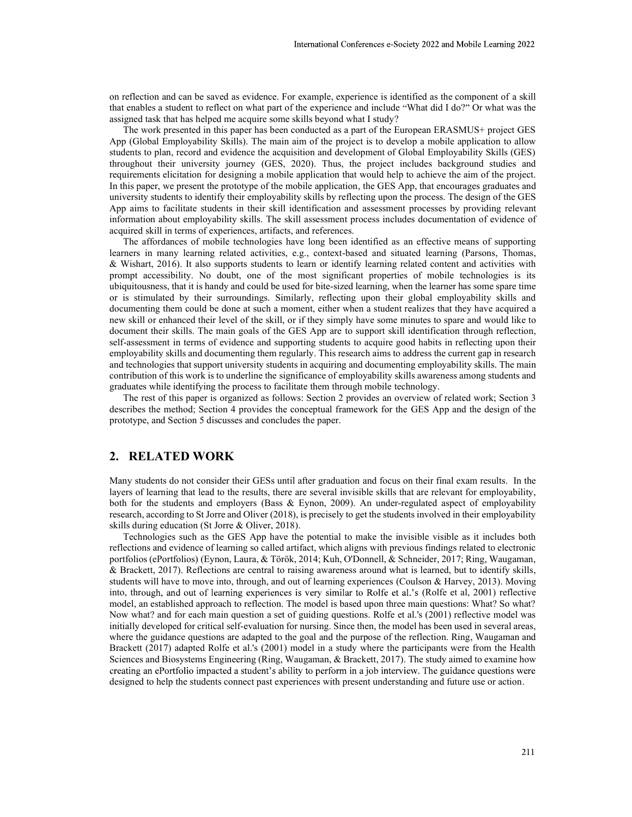assigned task that has helped me acquire some skills beyond what I study?

International Conferences e-Society 2022 and Mobile Learning 2022<br>
on reflection and can be saved as evidence. For example, experience is identified as the component of a skill<br>
that enables a student to reflect on what pa International Conferences e-Society 2022 and Mobile Learning 2022<br>
on reflection and can be saved as evidence. For example, experience is identified as the component of a skill<br>
that enables a student to reflect on what pa The work presented in this paper has been conducted as a part of the European ERASMUS+ project GES App (Global Employability Skills). The main aim of the project is to develop a mobile application to allow students to plan, record and evidence the acquisition and development of Global Employability Skills (GES) International Conferences e-Society 2022 and Mobile Learning 2022<br>on reflection and can be saved as evidence. For example, experience is identified as the component of a skill<br>that enables a student to reflect on what part International Conferences e-Society 2022 and Mobile Learning 2022<br>
on reflection and can be saved as evidence. For example, experience is identified as the component of a skill<br>
that enables a student to reflect on what pa International Conferences e-Society 2022 and Mobile Learning 2022<br>
International Conferences of the experience is identified as the component of a skill<br>
that enables a student to reflect on what part of the experience and International Conferences e-Society 2022 and Mobile Learning 2022<br>
on reflection and ena be saved as evidence. For example, experience is identified as the component of a skill<br>
that enables a student to reflect on what pa International Conferences e-Society 2022 and Mobile Learning 2022<br>
and Mobile Learning 2022<br>
and reaches a student to reflect on what part of the experience and include "What did I do?" Or what was the<br>
assigned task that information about employability skills. The skill assessment process includes documentation of evidence of acquired skill in terms of experiences, artifacts, and references. International Conferences e-Society 2022 and Mobile Learning 2022<br>
on reflection and can be saved as a vidence. For example, experience is identified as the component of a skill<br>
that canbles a student to relate on what pa

The affordances of mobile technologies have long been identified as an effective means of supporting learners in many learning related activities, e.g., context-based and situated learning (Parsons, Thomas, prompt accessibility. No doubt, one of the most significant properties of mobile technologies is its International Confreences e-Society 2022 and Mobile Learning 2022<br>on reflection and eam be saved as evidence. For example, experience is identified as the component of a skill<br>that induces a statient to rether on what part Internuional Conferences e-Society 2022 and Mobile Learning 2022<br>
on reflection and can be saved as evidence. For example, experience is identified as the component of a skill<br>
that that shows a student to reflect on what documenting them could be done at such a moment, either when a student realizes that they have acquired a on reflection and oan be saved as evidence. For example, experience is identified as the component of a skill<br>that manbles a smalent to reflect on what part of the experience and includy. "What was the<br>simpled like that ha on reflection and can be saved as evidence. For example, experience is identified as for component of a skill<br>assigned tas shotdest on what part of the copyrigne call indulo; "What did 1 do?" Or what was file<br>assigned task on reflection and can be saved as evidence. For example, experience is identified as the component of a skill<br>that rankies a student to reflect to what part of the experience and include "What did 1 do?" Or what was the<br>sy on reflection and can be saved as evidence. For example, experience is identified as the component of a skill<br>that transhiss a stational to reflect on what part of the experience and include "What did 1 do?" Or what was th and technologies that support university students in acquiring and documenting employability skills. The main that casos as situated with the paper has been to the Specience and meliod.<sup>2</sup> what the control of the Specience and the simple and the simple and the simple and the simple and the simple and the simple and the simple and graduates while identifying the process to facilitate them through mobile technology. The Work presented as a paper in so paper of the sure of the sure of the sure of the sure of the sure of the sure of the sure of the sure of the sure of the sure of the sure of the sure of the sure of the sure of the sure minary that the statistic statistic in their statistic distance in the process. The design in<br>the principal mix to field that statistic statistic in their sales information and assessment process. The design<br>information ab information about employability skills. The skill assessment process includes documentation of evidence of mediculations of modified technologies have tong been identified as an effective means of superving<br>Carners in many research in many learning related accivities, e.g., context-based and situated learning (Parsons, Thomas, Theoretical and situated learning (Parsons, Thomas, Simparty according the control in the studies in the studies in my accessibility. No doubt, one of the most significant properties of mobile technologies is its<br>minutate parameterial to the most significant properties of mobile is<br>assimulated by their surroundings. Similarly, reflectin or is stimulated by their surroundings. Similarly, reflecting upon their global employability skills and<br>commenting them could be done at such a moment, either when a student realizes that they have ocquired a<br>becoment the

describes the method; Section 4 provides the conceptual framework for the GES App and the design of the prototype, and Section 5 discusses and concludes the paper.

layers of learning that lead to the results, there are several invisible skills that are relevant for employability, both for the students and employers (Bass & Eynon, 2009). An under-regulated aspect of employability skills during education (St Jorre & Oliver, 2018).

reflections and evidence of learning so called artifact, which aligns with previous findings related to electronic documenting them could be done at such a moment, either when a student realizers that they have acquired a<br>check through the central to real to real to the Skill, or if they simply have some minutes to spare and would like stell the resheared their level of the skill, or if they simply have some minutes to part and would like to move into the skills. The main goals of the GES App are to support skill identification through relievition, contr document their skills. The main goals of the GFS App are to support skill identification through reflection, the main goal by the computer skills and decomputed by the state of the state of the state of the state of the st self seassment in terms of evidence and supporting sindents to acquire good habits in reflecting upon their controllations.<br>
Surface the model is support university students in acquiring and counterains to acquire good hab omply in Sillian documentating them regularly. This research aims to address the current gap in research and commuting particular and commuting the main contribution of this work is to underline significance of employabili and technologies that support university students in againing and communiting employability skills wareness among students and exceeding the particulation in the superfector while identifying the process to facilitate whi contribution of fists work is to underline the significance of employability stills awarenshing and the significal<br>graduates while identifying the process to facilitate them through mobile technology.<br>The rest of this pape Brackett (2017) adapted Rolfe et al.'s (2001) model in a study where the participants were from the Health Sciences and Biosystems Engineering (Ring, Waugaman, & Brackett, 2017). The study aimed to examine how designed to help the students connect past experiences with present understanding and future use or action.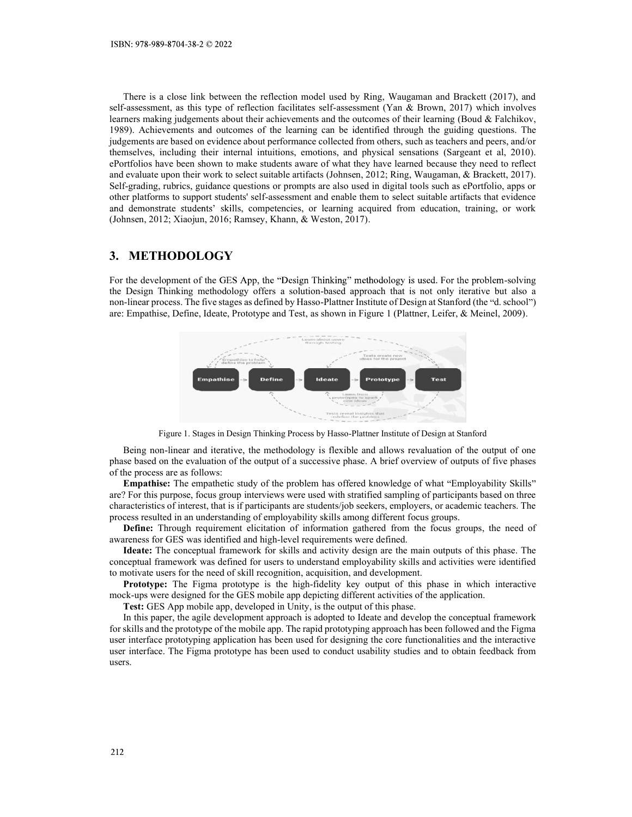There is a close link between the reflection model used by Ring, Waugaman and Brackett (2017), and ISBN: 978-989-8704-38-2 © 2022<br>
There is a close link between the reflection model used by Ring, Waugaman and Brackett (2017), and<br>
self-assessment, as this type of reflection facilitates self-assessment (Yan & Brown, 201 learners making judgements about their achievements and the outcomes of their learning (Boud & Falchikov, 1988): 978-989-8704-38-2 © 2022<br>
There is a close link between the reflection model used by Ring, Waugaman and Brackett (2017), and<br>
self-assessment, as this type of reflection facilitates self-assessment (Yan & Brown, 201 judgements are based on evidence about performance collected from others, such as teachers and peers, and/or ISBN: 978-989-8704-38-2 © 2022<br>
There is a close link between the reflection model used by Ring, Waugaman and Brackett (2017), and<br>
self-assessment, as this type of reflection facilitates self-assessment (Yan & Brown, 2017 ISBN: 978-989-8704-38-2  $\odot$  2022<br>There is a close link between the reflection model used by Ring, Waugaman and Brackett (2017), and<br>self-assessment, as this type of reflection facilitates self-assessment (Yan & Brown, 2 ISBN: 978-989-8704-38-2 © 2022<br>There is a close link between the reflection model used by Ring, Waugaman and Brackett (2017), and<br>self-assessment, as this type of reflection facilitates self-assessment (Yan & Brown, 2017) ISBN: 978-989-8704-38-2  $\odot$  2022<br>There is a close link between the reflection model used by Ring, Waugaman and Brackett (2017), and<br>self-assessment, as this type of reflection facilitates self-assessment (Yan & Brown, 2 other platforms to support students' self-assessment and enable them to select suitable artifacts that evidence and demonstrate students' skills, competencies, or learning acquired from education, training, or work (Johnsen, 2012; Xiaojun, 2016; Ramsey, Khann, & Weston, 2017). ISBN: 978-989-8704-38-2  $\odot$  2022<br>
There is a close link between the reflection model used by Ring, Waugaman and Braself-assessment, as this type of reflection facilitates self-assessment (Yan & Brown, 2017)<br>
elearners m ISBN: 978-989-8704-38-2 0:2022<br>
There is a close link between the reflection model used by Ring, Waugaman and Brackett (2017), and<br>
self-assessment, as this type of reflection facilitates self-assessment (Yan & Brown, 201 ISBN: 978-989-8704-38-2  $\approx$  2022<br>There is a close link between the reflection model used by Ring, Waugaman and Brackett (2017), and<br>star sassessment, as this type of relation freilitents self-rassessment (Yan & Brown, 20 There is a close link between the reflection model used by Ring, Waugaman and Brackett (2017), and<br>self-assessment, as this type of rellection facilitates self-assessment (Yan & Brown, 2017) which involves<br>learners making

For the development of the GES App, the "Design Thinking" methodology is used. For the problem-solving



of the process are as follows:

**Empathise:** The empathetic study of the problem has offered knowledge of what "Employability Skills"

For strained and the mobile application in the mobile application of the prototype of the mobile based on the conduction of the computer of the mobile and the mobile and the mobile and the mobile and the prototypical field user interface prototyping application has been used for designing the core functionalities and the interactive user interface. The Figma prototype has been used to conduct usability studies and to obtain feedback from users.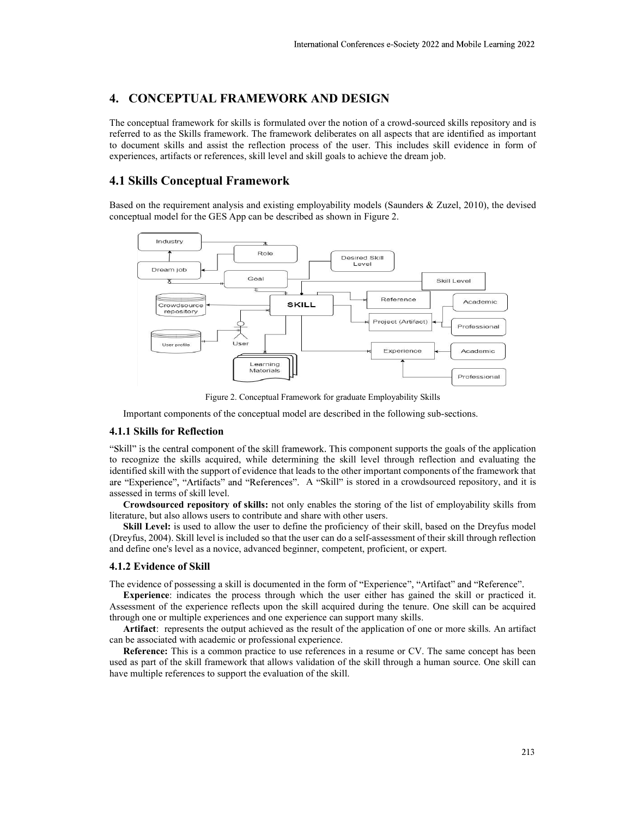International Conferences e-Society 2022 and Mobile Learning 2022<br> **4. CONCEPTUAL FRAMEWORK AND DESIGN**<br>
The conceptual framework for skills is formulated over the notion of a crowd-sourced skills repository and is<br>
referr International Conferences e-Society 2022 and Mobile Learning 2022<br> **4. CONCEPTUAL FRAMEWORK AND DESIGN**<br>
The conceptual framework for skills is formulated over the notion of a crowd-sourced skills repository and is<br>
referr International Conferences e-Society 2022 and Mobile Learning 2022<br> **4. CONCEPTUAL FRAMEWORK AND DESIGN**<br>
The conceptual framework for skills is formulated over the notion of a crowd-sourced skills repository and is<br>
referr International Conferences e-Society 2022 and Mobile Learning 2022<br> **4. CONCEPTUAL FRAMEWORK AND DESIGN**<br>
The conceptual framework for skills is formulated over the notion of a crowd-sourced skills repository and is<br>
referr experiences, artifacts or references, skill level and skill goals to achieve the dream job. International Conferences e-Society 2022 and Mobile Learning 2022<br>
4. CONCEPTUAL FRAMEWORK AND DESIGN<br>
The conceptual framework for skills is formulated over the notion of a crowd-sourced skills repository and is<br>
referred



Important components of the conceptual model are described in the following sub-sections.

identified skill with the support of evidence that leads to the other important components of the framework that assessed in terms of skill level. Experience:  $\frac{1}{2}$  ( $\frac{1}{2}$   $\frac{1}{2}$   $\frac{1}{2}$   $\frac{1}{2}$   $\frac{1}{2}$   $\frac{1}{2}$   $\frac{1}{2}$   $\frac{1}{2}$   $\frac{1}{2}$   $\frac{1}{2}$   $\frac{1}{2}$   $\frac{1}{2}$   $\frac{1}{2}$   $\frac{1}{2}$   $\frac{1}{2}$   $\frac{1}{2}$   $\frac{1}{2}$   $\frac{1}{2}$   $\frac{1}{2}$   $\frac{1}{2}$ **EXERCT:** Fractional Phaneton's **EXERCT CONDITE CONDITE (CONDITE CONDITE)**<br> **EXERCT** FRACTION FROM THE SECTION THE CONDITE CONDITE TO THE CONDITE CONDITE TO THE CONDITE THE STATE OF THE CONDITE THE STATE OF THE CONDITE CO Experience and the experiment of the experiment of the skill framework for graduate Employability Skills<br>
4.1.1 Skills for Reflection for the conceptual model are described in the following sub-sections.<br>
4.1.1 Skills for Figure 2. Conceptual Framework for graduate Employability Skills<br> **Reference:** This is a common proference of the conceptual model are described in the following sub-sections.<br> **A Following Subsettion**<br>
This is a common or Figure 2. Conceptual Framework for graduate Employability Skills<br>
4.1.1 Skills for Reflection<br>
4.1.1 Skills for Reflection<br>
5.6dil" is the central component of the skill framework. This component supports the goals of the

Crowdsourced repository of skills: not only enables the storing of the list of employability skills from

The evidence of possessing a skill is documented in the form of "Experience", "Artifact" and "Reference".

Experience: indicates the process through which the user either has gained the skill or practiced it. Assessment of the experience reflects upon the skill acquired during the tenure. One skill can be acquired

have multiple references to support the evaluation of the skill.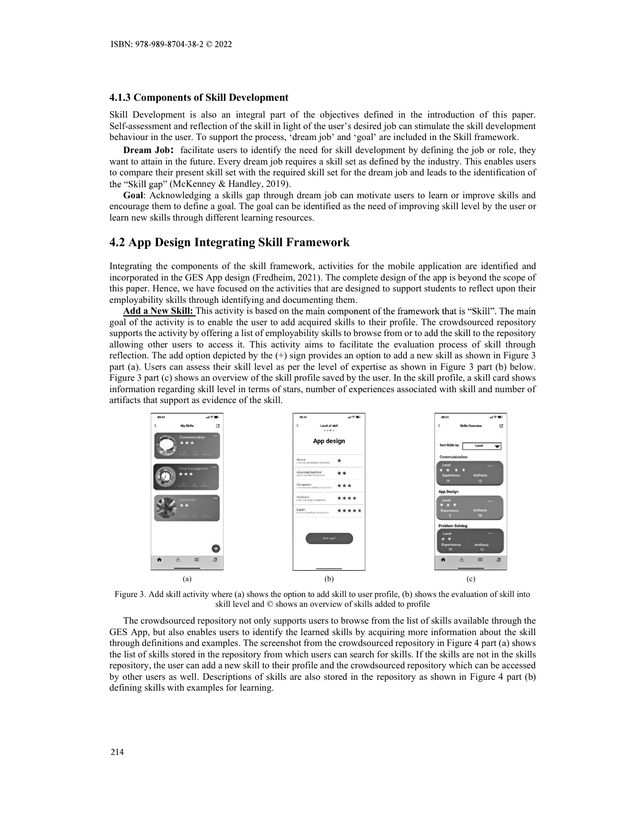ISBN: 978-989-8704-38-2 © 2022<br>
4.1.3 Components of Skill Development<br>
Skill Development is also an integral part of the objectives defined in the introduction of this paper.<br>
Self-assessment and reflection of the skill i behaviour in the user. To support the process, 'dream job' and 'goal' are included in the Skill framework.

SKILL DEVELONS IS A SAMPLE TO A SAMPLE IS also an integral part of the objectives defined in the introduction of this paper.<br>Skill Development is also an integral part of the objectives defined in the introduction of this **4.1.3 Components of Skill Development**<br> **4.1.3 Components of Skill Development**<br>
Skill Development is also an integral part of the objectives defined in the introduction of this paper.<br>
Self-assessment and reflection of **3.** Components of Skill Development<br>
Development is also an integral part of the objectives defined in the introduction of this paper.<br>
I Development is also an integral part of the objectives defined in the introduction **4.1.3 Components of Skill Development**<br>**4.1.3 Components of Skill Development**<br>Skill Development is also an integral part of the suite system of the summature the skill development<br>behaviour in the user. To support the p **4.1.3 Components of Skill Development**<br>**4.1.3 Components of Skill Development**<br>Skill Development is also an integral part of the objectives defined in the introduction of this paper.<br>ScIf-assessment and reflection of the the "Skill gap" (McKenney & Handley, 2019). Somption 18.2 and the proper state of the discussion of this paper.<br> **Components of Skill Development**<br>
Il Development is also an integral part of the objectives defined in the introduction of this paper.<br>
The assessment 15BN: 978-989-8704-38-2 0 2022<br>
4.1.3 Components of Skill Development<br>
Skill Development<br>
Skill Development<br>
Skill Development<br>
Self-assessment and reflection of the skill in light of the user's desired job can stimulate **1.1.3 Components of Skill Development**<br> **4.1.3 Components of Skill Development**<br> **4.1.3 Components of Skill Development**<br> **5.6** Eassessment and reflection of the skill night of the user's desired job can simulate the ski 4.1.3 Components of Skill Development<br>
4.1.3 Components of Skill Development<br>
Skill Development<br>
Skill Development is also an integral part of the objectives defined in the introduction of this pape<br>
Self-assessment and r ISBN: 978-989-8704-38-2 © 2022<br>
4.1.3 Components of Skill Development<br>
4.1.3 Components of Skill Development<br>
Skill Development<br>
Skill angles of the skill in gight of the core is design to place and ore<br>
Schwarssment and

Integrating the components of the skill framework, activities for the mobile application are identified and employability skills through identifying and documenting them.

ISIN: 978-989-8704-38-2 0202<br>
4.1.3 Components of Skill Development<br>
Skill-Sessesment and crise on integral part of the objectives defined in the introduction of this apper.<br>
Skill-Sessesment and reflection of the skill i As: 978-989-8704-38-2  $\heartsuit$  2022<br> **A Components of Skill Development**<br>
Il Development<br>
Il Development<br>
Il Development<br>
Il Development<br>
Il Development<br>
Il Development<br>
activity in the user. To support the process, "dream **4.1.3 Components of Skill Development**<br>Skill Development is also an integral part of the objectives defined in the introduction of this paper.<br>Skill Development and reflection of the skill in glut of the user's observed **4.1.3 Components of Skill Development**<br>Skill Development is also an integral part of the objectives defined in the introduction of this paper.<br>Self-assessment and reduction of the skill in light of the user's desired job allowing other users to access it. This activity aims to facilitate the evaluation process of skill through **4.1.3 Components of Skill Development**<br>Skill-Bevelopment is also an integral part of the objectives defined in the introduction of this paper.<br>Skill-Bevelopment is also an integral part of the objectives are in science o **4.2. A components of the skill framework** as the mean state in the introduction of this paper.<br>Skill Development is clear as interestend of the skill in high to fit user's desired job can stimulate the skill development<br> Skill Development is also an integral part of the objectives defined in the introduction of this paper.<br>
Self-assessment and related on of the skill in light of the user's desired job can simulate the skill development<br>
D information regarding skill level in terms of stars, number of experiences associated with skill and number of artifacts that support as evidence of the skill.



skill level and © shows an overview of skills added to profile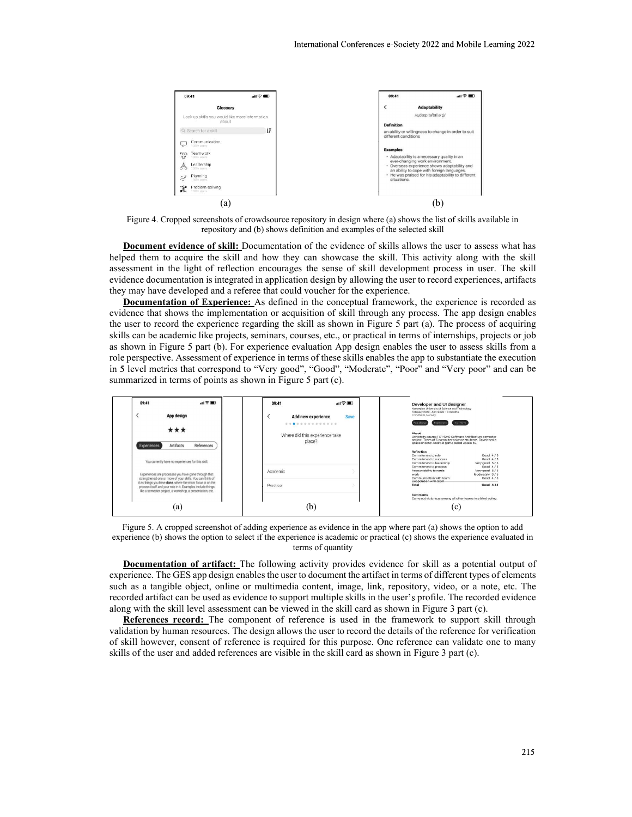

assessment in the light of reflection encourages the sense of skill development process in user. The skill they may have developed and a referee that could voucher for the experience.

evidence that shows the implementation or acquisition of skill through any process. The app design enables in 5 level metrics that correspond to "Very good", "Good", "Moderate", "Poor" and "Very poor" and can be Superiority and the state of the state of the state of the state of the state of the state of the state of the state of the state of the state of the state of the state of the state of the state of the state of the state



experience (b) shows the option to select if the experience is academic or practical (c) shows the experience evaluated in terms of quantity

of skill however, consent of reference is required for this purpose. One reference can validate one to many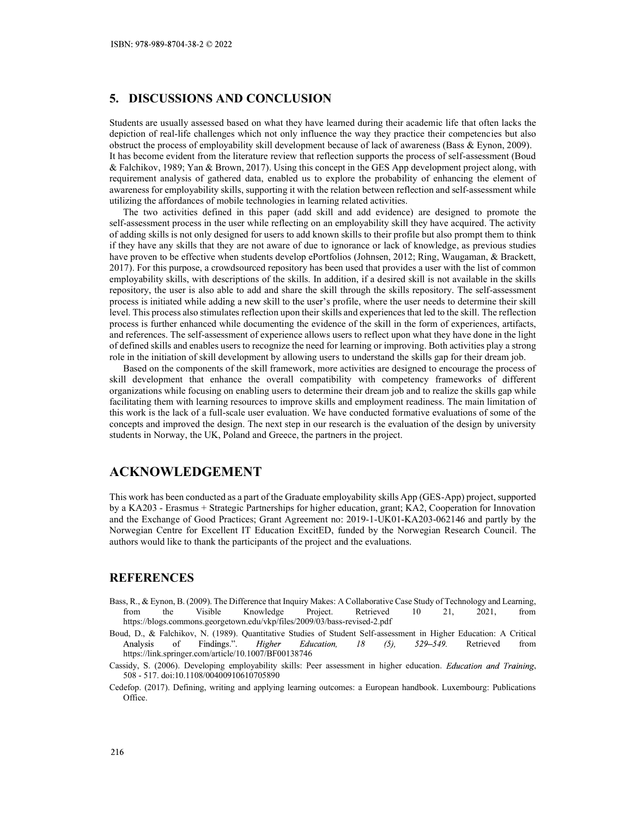ISBN: 978-989-8704-38-2 © 2022<br>
5. DISCUSSIONS AND CONCLUSION<br>
Students are usually assessed based on what they have learned during their academic life that often lacks the<br>
depiction of real-life challenges which not only Students are usually assessed based on what they have learned during their academic life that often lacks the depiction of real-life challenges which not only influence the way they practice their competencies but also ob ISBN: 978-989-8704-38-2 © 2022<br>
5. DISCUSSIONS AND CONCLUSION<br>
Students are usually assessed based on what they have learned during their academic life that often lacks the<br>
depiction of real-life challenges which not only **SSBN: 978-989-8704-38-2 © 2022**<br> **S.** DISCUSSIONS AND CONCLUSION<br>
Students are usually assessed based on what they have learned during their academic life that often lacks the<br>
depiction of real-life challenges which not ISBN: 978-989-8704-38-2 © 2022<br> **S.** DISCUSSIONS AND CONCLUSION<br>
Students are usually assessed based on what they have learned during their academic life that often lacks the<br>
depiction of real-life challenges which not o ISBN: 978-989-8704-38-2 © 2022<br>
5. DISCUSSIONS AND CONCLUSION<br>
Students are usually assessed based on what they have learned during their academic life that often lacks the<br>
depiction of real-life challenges which not onl **FIGURE AND STAN AND CONCLUSION**<br> **Students are usually assessed based on what they have learned during their eachemic life that often lacks the<br>
depiction of cral-life challenges which not only influence the way they pra** 18BN: 978-989-8704-38-2 © 2022<br>
5. DISCUSSIONS AND CONCLUSION<br>
Students are usually assessed based on what they have learned during their academic life that often lacks the<br>
depiction of real-life challenges which not onl utilizing the affordances of mobile technologies in learning related activities. N: 978-989-8704-38-2 © 2022<br>
DISCUSSIONS AND CONCLUSION<br>
dents are usually assessed based on what they have learned during their academic life that often lacks the<br>
tition of real-life challenges which not only influence t SEN: 978-989-8704-38-2 © 2022<br>
S. DISCUSSIONS AND CONCLUSION<br>
Students are usually assessed based on what they have learned during their acedemic life that often lacks the<br>
depiction of real-life challenges which not only

**5. DISCUSSIONS AND CONCLUSION**<br> **Students are usually assessed based on what they have learned during their academic life that often lacks the<br>
depiction of real-life challenges which not only influence the way they pr SEN:** 978-989-8704-38-2 0 2022<br> **SIMENET SENSE AND CONCLUSION**<br>
SIMENTS SURFORM SIMENTS AND CONCLUSION<br>
SIMENTS of the duelenges which not only influence the way they practice their competencies but also<br>
depiction of re **55. DISCUSSIONS AND CONCLUSION**<br> **5.** DISCUSSIONS AND CONCLUSION<br>
Students are usually assessed based on what they have learned during their andemire lift that often lacks the<br>
depictive to free heal-life challenges which 15BN: 978-989-8704-38-2 0 2022<br>
2017). Suddents are usually assessed based on what they have learned during their academic life that often hasks the<br>
dependent of real-life dialonges which not only influence the way they ISBN: 978-989-8704-38-2 © 2022<br>
5. DISCUSSIONS AND CONCLUSION<br>
Sixtems are usually assessed based on what they have learned during their academic life that often lacks the<br>
Sixtemic the process of employability skill deve ISBN: 978-989-8704-38-2 02022<br>
Suddata arc usually assessed based on what they have learned during their andedmin life that often lacks the<br>
depiction of real-life faultinges which not only influence the way they reactive ISBN: 978-989-4704-38-2  $\approx$  2022<br>
5. DISCUSSIONS AND CONCLUSION<br>
5. DISCUSSIONS AND CONCLUSION<br>
Studients are usually assessed hased on what they have learned during their andeless if ends to determine the<br>
Studients are level. This process also stimulate and the skills and on the skills and the reflection upon the skill development of the reflection upon the stimulate in the stimulate in the reflection of the reflection of the reflection 5. DISCUSSIONS AND CONCLUSION<br>Students are usually assessed based on what they have learned during their academic life that often lacks the<br>depiction of real-life challenges which not only influence the way they precire t 5. DISCUSSIONS AND CONCLUSION<br>
Students are usually assessed based on what they have learned during their andentis life that often hacks the<br>depicture of real-life faultingues which not only influence the way they practic 5. **DISCUSSIONS AND CONCLUSION**<br>Students are usually assessed based on what they have learned during their acedemic life that often lacks the<br>depiction of real-life challenges which not only influence the way they practic 5. DISCUSSIONS AND CONCLUSION<br>Students are usually assessed hased on what they have learned during their acceleates the for consections of the<br>depiction of skill development because of lead of waverages (shared Eyron, 200 Students are usually assessed based on what they have learned during their andemin life that often had to development of real-life challenges which not coly influence the way they practics their competencies hat also do<br>s stollaris are using was seen as of the skills particle) and the skills and their stations while the conserver of conserver the process of capital in the short and one observer the process of capital and the process of capi In this become evolution their method with the procedure the process are the step in the concept in the concept in the CFS App devotopment project along with a state become evaluation and ysis of gathered data, canboth use & ratention, 1999; Yan & Brown, 2012, U.S. U.S. The mission coept in the US-App certopment project aong, win a student of requirement projections, West, Yan K. Brown, 2017, U.S. U.S. This appoint in Which technologies in of adding skills in or only designed for users to add known skills to their profile to the grown to this been conducted as part on the security of the symper the been conducted as the sympe provides a part of the Graduate if they have any skills that they are not aware of due to incorance or lack of harowledge, as previous studies<br>at they proven to be effective when studients develop ePortfolios (Johnson, 2012; Ring, Waugaman, & Brackett,<br>2 have proven to be effective when such to the skills. In addition, 2012; Ring, Waugamian, & Brackett, which agreement to the skills are providing signing with the list of common perployability skills, with descriptions of t 2017). For this purpose, a crowdsourced epository has been used that provides a user with the list of common<br>perception, the results addition, if a desired skill is not available in the skills<br>represents, the user is also

Based on the components of the skill framework, more activities are designed to encourage the process of facilitating them with learning resources to improve skills and employment readiness. The main limitation of this work is the lack of a full-scale user evaluation. We have conducted formative evaluations of some of the

# ACKNOWLEDGEMENT

authors would like to thank the participants of the project and the evaluations. Extra is the lack of a fill-scale user evaluation. We have conducted formative coulations of some of the sciences of methods of a fill-scale user conducted formation of the design by university students in Norway, the UK,

## **REFERENCES**

- Bass, R., & Eynon, B. (2009). The Difference that Inquiry Makes: A Collaborative Case Study of Technology and Learning, from the Visible Knowledge Project. Retrieved 10 21, 2021, from https://blogs.commons.georgetown.edu/vkp/files/2009/03/bass-revised-2.pdf
- Boud, D., & Falchikov, N. (1989). Quantitative Studies of Student Self-assessment in Higher Education: A Critical Retrieved from https://link.springer.com/article/10.1007/BF00138746
- 
- Cedefop. (2017). Defining, writing and applying learning outcomes: a European handbook. Luxembourg: Publications Office.